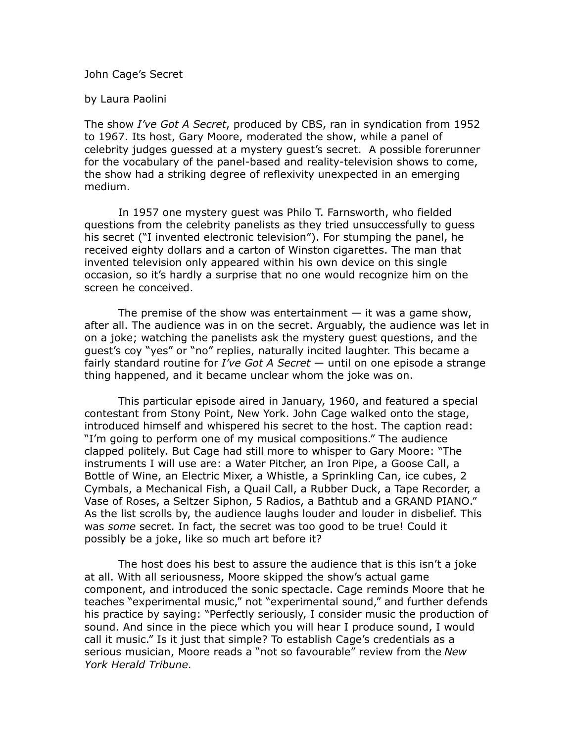## John Cage's Secret

## by Laura Paolini

The show *I've Got A Secret*, produced by CBS, ran in syndication from 1952 to 1967. Its host, Gary Moore, moderated the show, while a panel of celebrity judges guessed at a mystery guest's secret. A possible forerunner for the vocabulary of the panel-based and reality-television shows to come, the show had a striking degree of reflexivity unexpected in an emerging medium.

In 1957 one mystery guest was Philo T. Farnsworth, who fielded questions from the celebrity panelists as they tried unsuccessfully to guess his secret ("I invented electronic television"). For stumping the panel, he received eighty dollars and a carton of Winston cigarettes. The man that invented television only appeared within his own device on this single occasion, so it's hardly a surprise that no one would recognize him on the screen he conceived.

The premise of the show was entertainment  $-$  it was a game show, after all. The audience was in on the secret. Arguably, the audience was let in on a joke; watching the panelists ask the mystery guest questions, and the guest's coy "yes" or "no" replies, naturally incited laughter. This became a fairly standard routine for *I've Got A Secret* — until on one episode a strange thing happened, and it became unclear whom the joke was on.

This particular episode aired in January, 1960, and featured a special contestant from Stony Point, New York. John Cage walked onto the stage, introduced himself and whispered his secret to the host. The caption read: "I'm going to perform one of my musical compositions." The audience clapped politely. But Cage had still more to whisper to Gary Moore: "The instruments I will use are: a Water Pitcher, an Iron Pipe, a Goose Call, a Bottle of Wine, an Electric Mixer, a Whistle, a Sprinkling Can, ice cubes, 2 Cymbals, a Mechanical Fish, a Quail Call, a Rubber Duck, a Tape Recorder, a Vase of Roses, a Seltzer Siphon, 5 Radios, a Bathtub and a GRAND PIANO." As the list scrolls by, the audience laughs louder and louder in disbelief. This was *some* secret. In fact, the secret was too good to be true! Could it possibly be a joke, like so much art before it?

The host does his best to assure the audience that is this isn't a joke at all. With all seriousness, Moore skipped the show's actual game component, and introduced the sonic spectacle. Cage reminds Moore that he teaches "experimental music," not "experimental sound," and further defends his practice by saying: "Perfectly seriously, I consider music the production of sound. And since in the piece which you will hear I produce sound, I would call it music." Is it just that simple? To establish Cage's credentials as a serious musician, Moore reads a "not so favourable" review from the *New York Herald Tribune*.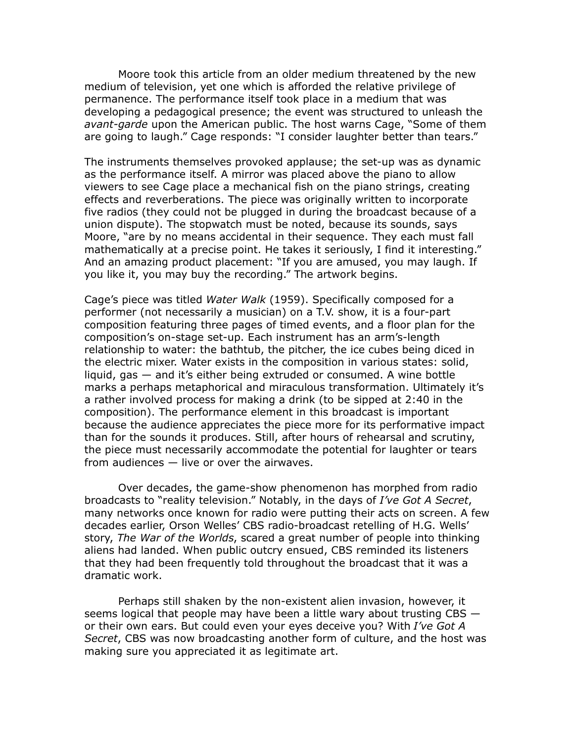Moore took this article from an older medium threatened by the new medium of television, yet one which is afforded the relative privilege of permanence. The performance itself took place in a medium that was developing a pedagogical presence; the event was structured to unleash the *avant-garde* upon the American public. The host warns Cage, "Some of them are going to laugh." Cage responds: "I consider laughter better than tears."

The instruments themselves provoked applause; the set-up was as dynamic as the performance itself. A mirror was placed above the piano to allow viewers to see Cage place a mechanical fish on the piano strings, creating effects and reverberations. The piece was originally written to incorporate five radios (they could not be plugged in during the broadcast because of a union dispute). The stopwatch must be noted, because its sounds, says Moore, "are by no means accidental in their sequence. They each must fall mathematically at a precise point. He takes it seriously, I find it interesting." And an amazing product placement: "If you are amused, you may laugh. If you like it, you may buy the recording." The artwork begins.

Cage's piece was titled *Water Walk* (1959). Specifically composed for a performer (not necessarily a musician) on a T.V. show, it is a four-part composition featuring three pages of timed events, and a floor plan for the composition's on-stage set-up. Each instrument has an arm's-length relationship to water: the bathtub, the pitcher, the ice cubes being diced in the electric mixer. Water exists in the composition in various states: solid, liquid, gas — and it's either being extruded or consumed. A wine bottle marks a perhaps metaphorical and miraculous transformation. Ultimately it's a rather involved process for making a drink (to be sipped at 2:40 in the composition). The performance element in this broadcast is important because the audience appreciates the piece more for its performative impact than for the sounds it produces. Still, after hours of rehearsal and scrutiny, the piece must necessarily accommodate the potential for laughter or tears from audiences  $-$  live or over the airwaves.

Over decades, the game-show phenomenon has morphed from radio broadcasts to "reality television." Notably, in the days of *I've Got A Secret*, many networks once known for radio were putting their acts on screen. A few decades earlier, Orson Welles' CBS radio-broadcast retelling of H.G. Wells' story, *The War of the Worlds*, scared a great number of people into thinking aliens had landed. When public outcry ensued, CBS reminded its listeners that they had been frequently told throughout the broadcast that it was a dramatic work.

Perhaps still shaken by the non-existent alien invasion, however, it seems logical that people may have been a little wary about trusting CBS or their own ears. But could even your eyes deceive you? With *I've Got A Secret*, CBS was now broadcasting another form of culture, and the host was making sure you appreciated it as legitimate art.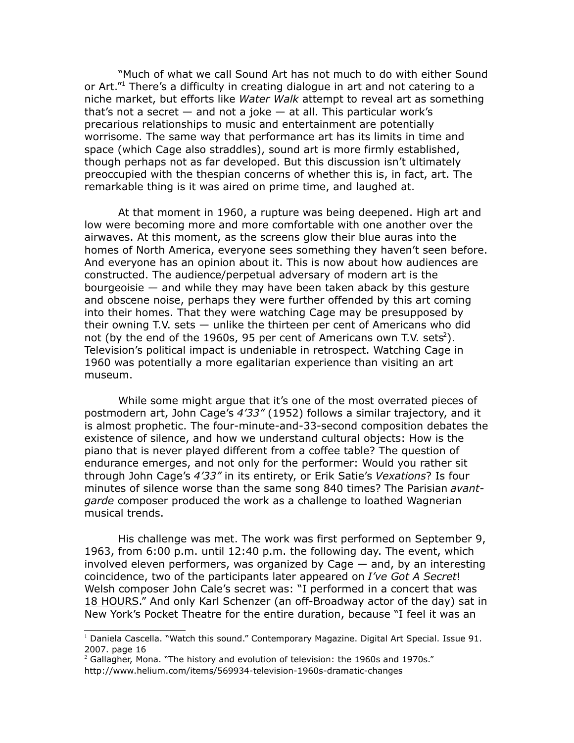"Much of what we call Sound Art has not much to do with either Sound or Art."<sup>[1](#page-2-0)</sup> There's a difficulty in creating dialogue in art and not catering to a niche market, but efforts like *Water Walk* attempt to reveal art as something that's not a secret — and not a joke — at all. This particular work's precarious relationships to music and entertainment are potentially worrisome. The same way that performance art has its limits in time and space (which Cage also straddles), sound art is more firmly established, though perhaps not as far developed. But this discussion isn't ultimately preoccupied with the thespian concerns of whether this is, in fact, art. The remarkable thing is it was aired on prime time, and laughed at.

At that moment in 1960, a rupture was being deepened. High art and low were becoming more and more comfortable with one another over the airwaves. At this moment, as the screens glow their blue auras into the homes of North America, everyone sees something they haven't seen before. And everyone has an opinion about it. This is now about how audiences are constructed. The audience/perpetual adversary of modern art is the bourgeoisie — and while they may have been taken aback by this gesture and obscene noise, perhaps they were further offended by this art coming into their homes. That they were watching Cage may be presupposed by their owning T.V. sets — unlike the thirteen per cent of Americans who did not (by the end of the 1960s, 95 per cent of Americans own T.V. sets<sup>[2](#page-2-1)</sup>). Television's political impact is undeniable in retrospect. Watching Cage in 1960 was potentially a more egalitarian experience than visiting an art museum.

While some might argue that it's one of the most overrated pieces of postmodern art, John Cage's *4'33"* (1952) follows a similar trajectory, and it is almost prophetic. The four-minute-and-33-second composition debates the existence of silence, and how we understand cultural objects: How is the piano that is never played different from a coffee table? The question of endurance emerges, and not only for the performer: Would you rather sit through John Cage's *4'33"* in its entirety, or Erik Satie's *Vexations*? Is four minutes of silence worse than the same song 840 times? The Parisian *avantgarde* composer produced the work as a challenge to loathed Wagnerian musical trends.

His challenge was met. The work was first performed on September 9, 1963, from 6:00 p.m. until 12:40 p.m. the following day. The event, which involved eleven performers, was organized by Cage — and, by an interesting coincidence, two of the participants later appeared on *I've Got A Secret*! Welsh composer John Cale's secret was: "I performed in a concert that was 18 HOURS." And only Karl Schenzer (an off-Broadway actor of the day) sat in New York's Pocket Theatre for the entire duration, because "I feel it was an

<span id="page-2-0"></span><sup>1</sup> Daniela Cascella. "Watch this sound." Contemporary Magazine. Digital Art Special. Issue 91. 2007. page 16

<span id="page-2-1"></span> $^2$  Gallagher, Mona. "The history and evolution of television: the 1960s and 1970s." http://www.helium.com/items/569934-television-1960s-dramatic-changes